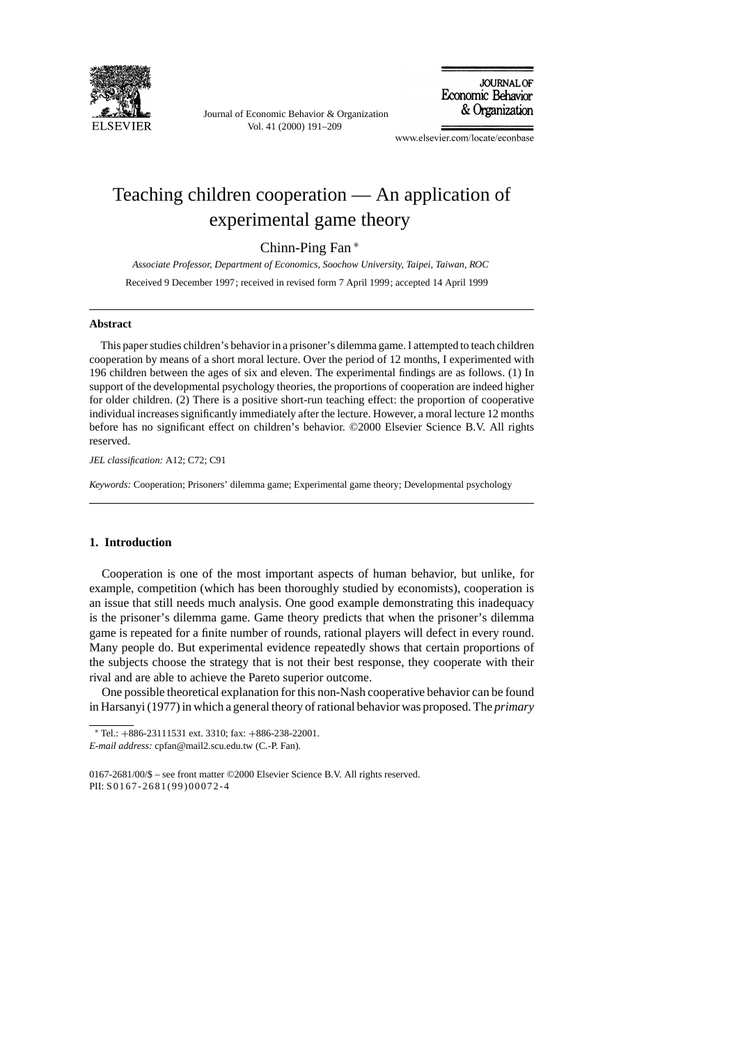

Journal of Economic Behavior & Organization Vol. 41 (2000) 191–209

**JOURNAL OF** Economic Behavior & Organization

www.elsevier.com/locate/econbase

# Teaching children cooperation — An application of experimental game theory

### Chinn-Ping Fan ∗

*Associate Professor, Department of Economics, Soochow University, Taipei, Taiwan, ROC* Received 9 December 1997; received in revised form 7 April 1999; accepted 14 April 1999

#### **Abstract**

This paper studies children's behavior in a prisoner's dilemma game. I attempted to teach children cooperation by means of a short moral lecture. Over the period of 12 months, I experimented with 196 children between the ages of six and eleven. The experimental findings are as follows. (1) In support of the developmental psychology theories, the proportions of cooperation are indeed higher for older children. (2) There is a positive short-run teaching effect: the proportion of cooperative individual increases significantly immediately after the lecture. However, a moral lecture 12 months before has no significant effect on children's behavior. ©2000 Elsevier Science B.V. All rights reserved.

*JEL classification:* A12; C72; C91

*Keywords:* Cooperation; Prisoners' dilemma game; Experimental game theory; Developmental psychology

### **1. Introduction**

Cooperation is one of the most important aspects of human behavior, but unlike, for example, competition (which has been thoroughly studied by economists), cooperation is an issue that still needs much analysis. One good example demonstrating this inadequacy is the prisoner's dilemma game. Game theory predicts that when the prisoner's dilemma game is repeated for a finite number of rounds, rational players will defect in every round. Many people do. But experimental evidence repeatedly shows that certain proportions of the subjects choose the strategy that is not their best response, they cooperate with their rival and are able to achieve the Pareto superior outcome.

One possible theoretical explanation for this non-Nash cooperative behavior can be found in Harsanyi (1977) in which a general theory of rational behavior was proposed. The *primary*

<sup>∗</sup> Tel.: +886-23111531 ext. 3310; fax: +886-238-22001.

*E-mail address:* cpfan@mail2.scu.edu.tw (C.-P. Fan).

<sup>0167-2681/00/\$ –</sup> see front matter ©2000 Elsevier Science B.V. All rights reserved. PII: S0167-2681(99)00072-4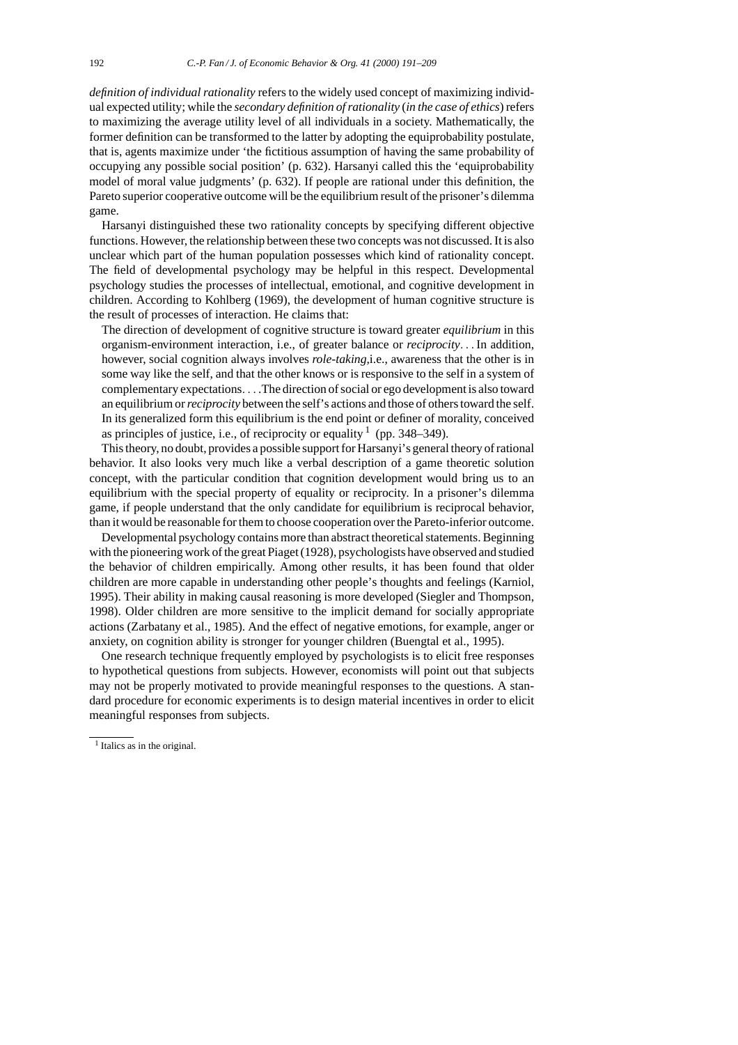*definition of individual rationality* refers to the widely used concept of maximizing individual expected utility; while the *secondary definition of rationality* (*in the case of ethics*) refers to maximizing the average utility level of all individuals in a society. Mathematically, the former definition can be transformed to the latter by adopting the equiprobability postulate, that is, agents maximize under 'the fictitious assumption of having the same probability of occupying any possible social position' (p. 632). Harsanyi called this the 'equiprobability model of moral value judgments' (p. 632). If people are rational under this definition, the Pareto superior cooperative outcome will be the equilibrium result of the prisoner's dilemma game.

Harsanyi distinguished these two rationality concepts by specifying different objective functions. However, the relationship between these two concepts was not discussed. It is also unclear which part of the human population possesses which kind of rationality concept. The field of developmental psychology may be helpful in this respect. Developmental psychology studies the processes of intellectual, emotional, and cognitive development in children. According to Kohlberg (1969), the development of human cognitive structure is the result of processes of interaction. He claims that:

The direction of development of cognitive structure is toward greater *equilibrium* in this organism-environment interaction, i.e., of greater balance or *reciprocity*... In addition, however, social cognition always involves *role-taking,*i.e., awareness that the other is in some way like the self, and that the other knows or is responsive to the self in a system of complementary expectations... .The direction of social or ego development is also toward an equilibrium or*reciprocity* between the self's actions and those of others toward the self. In its generalized form this equilibrium is the end point or definer of morality, conceived as principles of justice, i.e., of reciprocity or equality  $1$  (pp. 348–349).

This theory, no doubt, provides a possible support for Harsanyi's general theory of rational behavior. It also looks very much like a verbal description of a game theoretic solution concept, with the particular condition that cognition development would bring us to an equilibrium with the special property of equality or reciprocity. In a prisoner's dilemma game, if people understand that the only candidate for equilibrium is reciprocal behavior, than it would be reasonable for them to choose cooperation over the Pareto-inferior outcome.

Developmental psychology contains more than abstract theoretical statements. Beginning with the pioneering work of the great Piaget (1928), psychologists have observed and studied the behavior of children empirically. Among other results, it has been found that older children are more capable in understanding other people's thoughts and feelings (Karniol, 1995). Their ability in making causal reasoning is more developed (Siegler and Thompson, 1998). Older children are more sensitive to the implicit demand for socially appropriate actions (Zarbatany et al., 1985). And the effect of negative emotions, for example, anger or anxiety, on cognition ability is stronger for younger children (Buengtal et al., 1995).

One research technique frequently employed by psychologists is to elicit free responses to hypothetical questions from subjects. However, economists will point out that subjects may not be properly motivated to provide meaningful responses to the questions. A standard procedure for economic experiments is to design material incentives in order to elicit meaningful responses from subjects.

<sup>&</sup>lt;sup>1</sup> Italics as in the original.